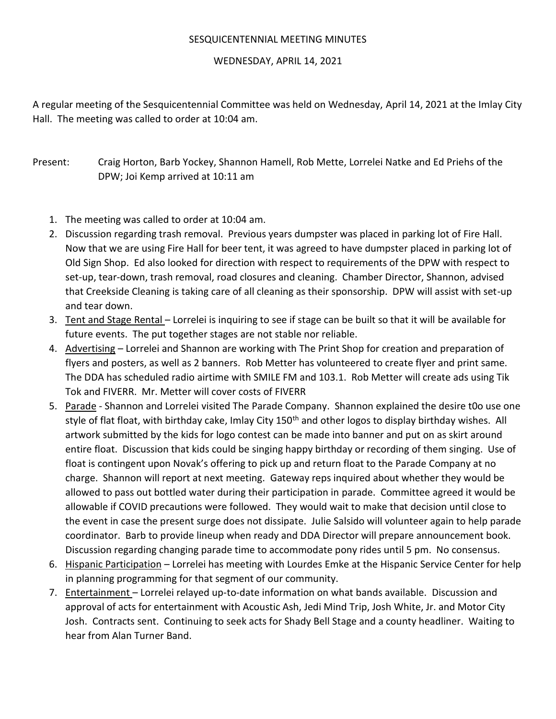## SESQUICENTENNIAL MEETING MINUTES

## WEDNESDAY, APRIL 14, 2021

A regular meeting of the Sesquicentennial Committee was held on Wednesday, April 14, 2021 at the Imlay City Hall. The meeting was called to order at 10:04 am.

Present: Craig Horton, Barb Yockey, Shannon Hamell, Rob Mette, Lorrelei Natke and Ed Priehs of the DPW; Joi Kemp arrived at 10:11 am

- 1. The meeting was called to order at 10:04 am.
- 2. Discussion regarding trash removal. Previous years dumpster was placed in parking lot of Fire Hall. Now that we are using Fire Hall for beer tent, it was agreed to have dumpster placed in parking lot of Old Sign Shop. Ed also looked for direction with respect to requirements of the DPW with respect to set-up, tear-down, trash removal, road closures and cleaning. Chamber Director, Shannon, advised that Creekside Cleaning is taking care of all cleaning as their sponsorship. DPW will assist with set-up and tear down.
- 3. Tent and Stage Rental Lorrelei is inquiring to see if stage can be built so that it will be available for future events. The put together stages are not stable nor reliable.
- 4. Advertising Lorrelei and Shannon are working with The Print Shop for creation and preparation of flyers and posters, as well as 2 banners. Rob Metter has volunteered to create flyer and print same. The DDA has scheduled radio airtime with SMILE FM and 103.1. Rob Metter will create ads using Tik Tok and FIVERR. Mr. Metter will cover costs of FIVERR
- 5. Parade Shannon and Lorrelei visited The Parade Company. Shannon explained the desire t0o use one style of flat float, with birthday cake, Imlay City 150<sup>th</sup> and other logos to display birthday wishes. All artwork submitted by the kids for logo contest can be made into banner and put on as skirt around entire float. Discussion that kids could be singing happy birthday or recording of them singing. Use of float is contingent upon Novak's offering to pick up and return float to the Parade Company at no charge. Shannon will report at next meeting. Gateway reps inquired about whether they would be allowed to pass out bottled water during their participation in parade. Committee agreed it would be allowable if COVID precautions were followed. They would wait to make that decision until close to the event in case the present surge does not dissipate. Julie Salsido will volunteer again to help parade coordinator. Barb to provide lineup when ready and DDA Director will prepare announcement book. Discussion regarding changing parade time to accommodate pony rides until 5 pm. No consensus.
- 6. Hispanic Participation Lorrelei has meeting with Lourdes Emke at the Hispanic Service Center for help in planning programming for that segment of our community.
- 7. Entertainment Lorrelei relayed up-to-date information on what bands available. Discussion and approval of acts for entertainment with Acoustic Ash, Jedi Mind Trip, Josh White, Jr. and Motor City Josh. Contracts sent. Continuing to seek acts for Shady Bell Stage and a county headliner. Waiting to hear from Alan Turner Band.